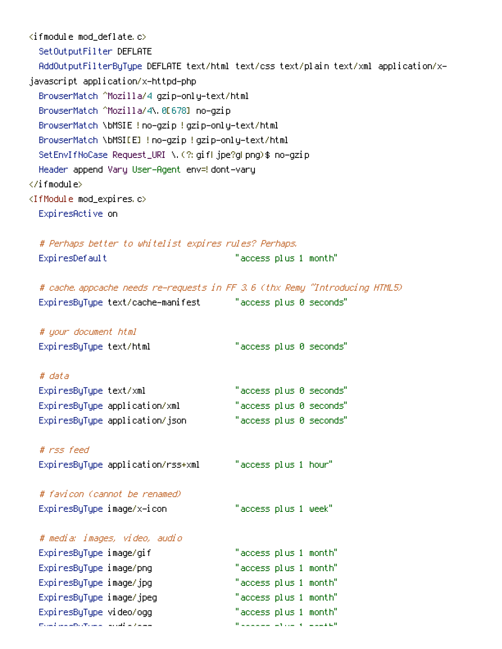| $\langle$ ifmodule mod_deflate.c $\rangle$                                 |                                                                                     |
|----------------------------------------------------------------------------|-------------------------------------------------------------------------------------|
| SetOutputFilter DEFLATE                                                    |                                                                                     |
|                                                                            | AddOutputFilterByType DEFLATE text/html text/css text/plain text/xml application/x- |
| javascript application/x-httpd-php                                         |                                                                                     |
| BrowserMatch ^Mozilla/4 gzip-only-text/html                                |                                                                                     |
| BrowserMatch ^Mozilla/4\ 0[678] no-gzip                                    |                                                                                     |
| BrowserMatch \bMSIE ! no-gzip ! gzip-only-text/html                        |                                                                                     |
| BrowserMatch \bMSI[E] !no-gzip !gzip-only-text/html                        |                                                                                     |
| SetEnvIfNoCase Request_URI \.(?: gifl jpe?gl png)\$ no-gzip                |                                                                                     |
| Header append Vary User-Agent env=! dont-vary                              |                                                                                     |
|                                                                            |                                                                                     |
| <ifmodule mod_expires.c=""></ifmodule>                                     |                                                                                     |
| ExpiresActive on                                                           |                                                                                     |
| # Perhaps better to whitelist expires rules? Perhaps.                      |                                                                                     |
| ExpiresDefault                                                             | "access plus 1 month"                                                               |
|                                                                            |                                                                                     |
| # cache appcache needs re-requests in FF 3.6 (thx Remy ~Introducing HTML5) |                                                                                     |
| ExpiresByType text/cache-manifest "access plus 0 seconds"                  |                                                                                     |
| # your document html                                                       |                                                                                     |
| ExpiresByType text/html                                                    | "access plus 0 seconds"                                                             |
| # data                                                                     |                                                                                     |
| ExpiresByType text/xml                                                     | "access plus 0 seconds"                                                             |
| ExpiresByType application/xml                                              | "access plus 0 seconds"                                                             |
| ExpiresByType application/json                                             | "access plus 0 seconds"                                                             |
|                                                                            |                                                                                     |
| # rss feed                                                                 |                                                                                     |
| ExpiresByType application/rss+xml                                          | "access plus 1 hour"                                                                |
| # favicon (cannot be renamed)                                              |                                                                                     |
| ExpiresByType image/x-icon                                                 | "access plus 1 week"                                                                |
|                                                                            |                                                                                     |
| # media: images, video, audio                                              |                                                                                     |
| ExpiresByType image/gif                                                    | "access plus 1 month"                                                               |
| ExpiresByType image/png                                                    | "access plus 1 month"                                                               |
| ExpiresByType image/jpg                                                    | "access plus 1 month"                                                               |
| ExpiresByType image/jpeg                                                   | "access plus 1 month"                                                               |
| ExpiresByType video/ogg                                                    | "access plus 1 month"                                                               |
| ومسترق والمتروم والمتروح والمستحقق فسيروز                                  | <u> Manazarta (1975) et anno 19</u>                                                 |